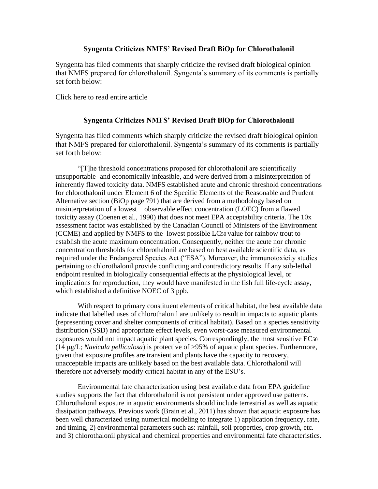## **Syngenta Criticizes NMFS' Revised Draft BiOp for Chlorothalonil**

Syngenta has filed comments that sharply criticize the revised draft biological opinion that NMFS prepared for chlorothalonil. Syngenta's summary of its comments is partially set forth below:

Click here to read entire article

## **Syngenta Criticizes NMFS' Revised Draft BiOp for Chlorothalonil**

Syngenta has filed comments which sharply criticize the revised draft biological opinion that NMFS prepared for chlorothalonil. Syngenta's summary of its comments is partially set forth below:

"[T]he threshold concentrations proposed for chlorothalonil are scientifically unsupportable and economically infeasible, and were derived from a misinterpretation of inherently flawed toxicity data. NMFS established acute and chronic threshold concentrations for chlorothalonil under Element 6 of the Specific Elements of the Reasonable and Prudent Alternative section (BiOp page 791) that are derived from a methodology based on misinterpretation of a lowest observable effect concentration (LOEC) from a flawed toxicity assay (Coenen et al., 1990) that does not meet EPA acceptability criteria. The 10x assessment factor was established by the Canadian Council of Ministers of the Environment (CCME) and applied by NMFS to the lowest possible LC50 value for rainbow trout to establish the acute maximum concentration. Consequently, neither the acute nor chronic concentration thresholds for chlorothalonil are based on best available scientific data, as required under the Endangered Species Act ("ESA"). Moreover, the immunotoxicity studies pertaining to chlorothalonil provide conflicting and contradictory results. If any sub-lethal endpoint resulted in biologically consequential effects at the physiological level, or implications for reproduction, they would have manifested in the fish full life-cycle assay, which established a definitive NOEC of 3 ppb.

With respect to primary constituent elements of critical habitat, the best available data indicate that labelled uses of chlorothalonil are unlikely to result in impacts to aquatic plants (representing cover and shelter components of critical habitat). Based on a species sensitivity distribution (SSD) and appropriate effect levels, even worst-case measured environmental exposures would not impact aquatic plant species. Correspondingly, the most sensitive EC50 (14 μg/L; *Navicula pelliculosa*) is protective of >95% of aquatic plant species. Furthermore, given that exposure profiles are transient and plants have the capacity to recovery, unacceptable impacts are unlikely based on the best available data. Chlorothalonil will therefore not adversely modify critical habitat in any of the ESU's.

Environmental fate characterization using best available data from EPA guideline studies supports the fact that chlorothalonil is not persistent under approved use patterns. Chlorothalonil exposure in aquatic environments should include terrestrial as well as aquatic dissipation pathways. Previous work (Brain et al., 2011) has shown that aquatic exposure has been well characterized using numerical modeling to integrate 1) application frequency, rate, and timing, 2) environmental parameters such as: rainfall, soil properties, crop growth, etc. and 3) chlorothalonil physical and chemical properties and environmental fate characteristics.